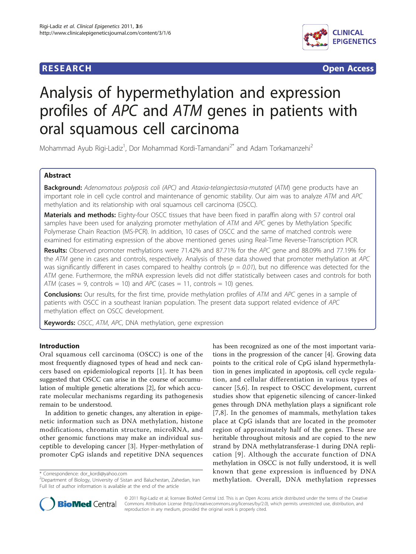

**RESEARCH CONTROL** CONTROL CONTROL CONTROL CONTROL CONTROL CONTROL CONTROL CONTROL CONTROL CONTROL CONTROL CONTROL CONTROL CONTROL CONTROL CONTROL CONTROL CONTROL CONTROL CONTROL CONTROL CONTROL CONTROL CONTROL CONTROL CON

# Analysis of hypermethylation and expression profiles of APC and ATM genes in patients with oral squamous cell carcinoma

Mohammad Ayub Rigi-Ladiz<sup>1</sup>, Dor Mohammad Kordi-Tamandani<sup>2\*</sup> and Adam Torkamanzehi<sup>2</sup>

# Abstract

Background: Adenomatous polyposis coli (APC) and Ataxia-telangiectasia-mutated (ATM) gene products have an important role in cell cycle control and maintenance of genomic stability. Our aim was to analyze ATM and APC methylation and its relationship with oral squamous cell carcinoma (OSCC).

Materials and methods: Eighty-four OSCC tissues that have been fixed in paraffin along with 57 control oral samples have been used for analyzing promoter methylation of ATM and APC genes by Methylation Specific Polymerase Chain Reaction (MS-PCR). In addition, 10 cases of OSCC and the same of matched controls were examined for estimating expression of the above mentioned genes using Real-Time Reverse-Transcription PCR.

Results: Observed promoter methylations were 71.42% and 87.71% for the APC gene and 88.09% and 77.19% for the ATM gene in cases and controls, respectively. Analysis of these data showed that promoter methylation at APC was significantly different in cases compared to healthy controls ( $p = 0.01$ ), but no difference was detected for the ATM gene. Furthermore, the mRNA expression levels did not differ statistically between cases and controls for both ATM (cases  $= 9$ , controls  $= 10$ ) and APC (cases  $= 11$ , controls  $= 10$ ) genes.

Conclusions: Our results, for the first time, provide methylation profiles of ATM and APC genes in a sample of patients with OSCC in a southeast Iranian population. The present data support related evidence of APC methylation effect on OSCC development.

Keywords: OSCC, ATM, APC, DNA methylation, gene expression

# Introduction

Oral squamous cell carcinoma (OSCC) is one of the most frequently diagnosed types of head and neck cancers based on epidemiological reports [[1\]](#page-4-0). It has been suggested that OSCC can arise in the course of accumulation of multiple genetic alterations [[2](#page-4-0)], for which accurate molecular mechanisms regarding its pathogenesis remain to be understood.

In addition to genetic changes, any alteration in epigenetic information such as DNA methylation, histone modifications, chromatin structure, microRNA, and other genomic functions may make an individual susceptible to developing cancer [\[3](#page-4-0)]. Hyper-methylation of promoter CpG islands and repetitive DNA sequences

\* Correspondence: [dor\\_kordi@yahoo.com](mailto:dor_kordi@yahoo.com)

has been recognized as one of the most important variations in the progression of the cancer [\[4](#page-4-0)]. Growing data points to the critical role of CpG island hypermethylation in genes implicated in apoptosis, cell cycle regulation, and cellular differentiation in various types of cancer [[5,6](#page-4-0)]. In respect to OSCC development, current studies show that epigenetic silencing of cancer-linked genes through DNA methylation plays a significant role [[7](#page-4-0),[8\]](#page-4-0). In the genomes of mammals, methylation takes place at CpG islands that are located in the promoter region of approximately half of the genes. These are heritable throughout mitosis and are copied to the new strand by DNA methylatransferase-1 during DNA replication [[9](#page-4-0)]. Although the accurate function of DNA methylation in OSCC is not fully understood, it is well known that gene expression is influenced by DNA methylation. Overall, DNA methylation represses



© 2011 Rigi-Ladiz et al; licensee BioMed Central Ltd. This is an Open Access article distributed under the terms of the Creative Commons Attribution License [\(http://creativecommons.org/licenses/by/2.0](http://creativecommons.org/licenses/by/2.0)), which permits unrestricted use, distribution, and reproduction in any medium, provided the original work is properly cited.

<sup>&</sup>lt;sup>2</sup>Department of Biology, University of Sistan and Baluchestan, Zahedan, Iran Full list of author information is available at the end of the article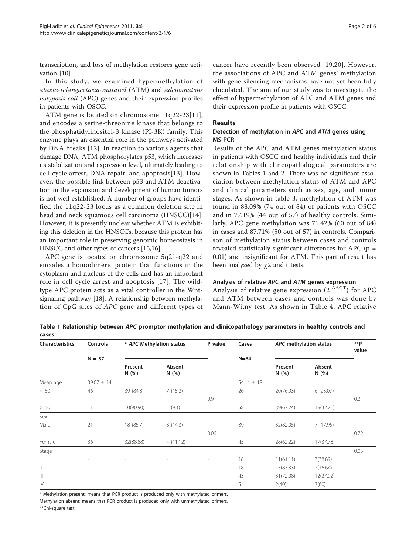transcription, and loss of methylation restores gene activation [\[10\]](#page-4-0).

In this study, we examined hypermethylation of ataxia-telangiectasia-mutated (ATM) and adenomatous polyposis coli (APC) genes and their expression profiles in patients with OSCC.

ATM gene is located on chromosome 11q22-23[[11](#page-4-0)], and encodes a serine-threonine kinase that belongs to the phosphatidylinositol-3 kinase (PI-3K) family. This enzyme plays an essential role in the pathways activated by DNA breaks [[12](#page-4-0)]. In reaction to various agents that damage DNA, ATM phosphorylates p53, which increases its stabilization and expression level, ultimately leading to cell cycle arrest, DNA repair, and apoptosis[[13\]](#page-4-0). However, the possible link between p53 and ATM deactivation in the expansion and development of human tumors is not well established. A number of groups have identified the 11q22-23 locus as a common deletion site in head and neck squamous cell carcinoma (HNSCC)[[14](#page-4-0)]. However, it is presently unclear whether ATM is exhibiting this deletion in the HNSCCs, because this protein has an important role in preserving genomic homeostasis in HNSCC and other types of cancers [[15,16\]](#page-4-0).

APC gene is located on chromosome 5q21-q22 and encodes a homodimeric protein that functions in the cytoplasm and nucleus of the cells and has an important role in cell cycle arrest and apoptosis [\[17\]](#page-4-0). The wildtype APC protein acts as a vital controller in the Wntsignaling pathway [[18\]](#page-4-0). A relationship between methylation of CpG sites of APC gene and different types of

cancer have recently been observed [[19](#page-4-0),[20\]](#page-4-0). However, the associations of APC and ATM genes' methylation with gene silencing mechanisms have not yet been fully elucidated. The aim of our study was to investigate the effect of hypermethylation of APC and ATM genes and their expression profile in patients with OSCC.

# Results

# Detection of methylation in APC and ATM genes using MS-PCR

Results of the APC and ATM genes methylation status in patients with OSCC and healthy individuals and their relationship with clincopathalogical parameters are shown in Tables 1 and [2](#page-2-0). There was no significant association between methylation status of ATM and APC and clinical parameters such as sex, age, and tumor stages. As shown in table [3,](#page-2-0) methylation of ATM was found in 88.09% (74 out of 84) of patients with OSCC and in 77.19% (44 out of 57) of healthy controls. Similarly, APC gene methylation was 71.42% (60 out of 84) in cases and 87.71% (50 out of 57) in controls. Comparison of methylation status between cases and controls revealed statistically significant differences for APC ( $p =$ 0.01) and insignificant for ATM. This part of result has been analyzed by  $\chi$ 2 and t tests.

# Analysis of relative APC and ATM genes expression

Analysis of relative gene expression  $(2^{-\Delta\Delta CT})$  for APC and ATM between cases and controls was done by Mann-Witny test. As shown in Table [4,](#page-2-0) APC relative

Table 1 Relationship between APC promptor methylation and clinicopathology parameters in healthy controls and cases

| <b>Characteristics</b>                                                                                                                                                                                                                                                                                                                                                                                                       | Controls<br>$N = 57$ | * APC Methylation status |                | P value        | Cases          | APC methylation status |                | $**p$<br>value |
|------------------------------------------------------------------------------------------------------------------------------------------------------------------------------------------------------------------------------------------------------------------------------------------------------------------------------------------------------------------------------------------------------------------------------|----------------------|--------------------------|----------------|----------------|----------------|------------------------|----------------|----------------|
|                                                                                                                                                                                                                                                                                                                                                                                                                              |                      |                          |                |                | $N = 84$       |                        |                |                |
|                                                                                                                                                                                                                                                                                                                                                                                                                              |                      | Present<br>N(%)          | Absent<br>N(%) |                |                | Present<br>N(%)        | Absent<br>N(%) |                |
| Mean age                                                                                                                                                                                                                                                                                                                                                                                                                     | $39.07 \pm 14$       |                          |                |                | 54.14 $\pm$ 18 |                        |                |                |
| < 50                                                                                                                                                                                                                                                                                                                                                                                                                         | 46                   | 39 (84.8)                | 7(15.2)        |                | 26             | 20(76.93)              | 6(23.07)       |                |
|                                                                                                                                                                                                                                                                                                                                                                                                                              |                      |                          |                | 0.9            |                |                        |                | 0.2            |
| > 50                                                                                                                                                                                                                                                                                                                                                                                                                         | 11                   | 10(90.90)                | 1(9.1)         |                | 58             | 39(67.24)              | 19(32.76)      |                |
| Sex                                                                                                                                                                                                                                                                                                                                                                                                                          |                      |                          |                |                |                |                        |                |                |
| Male                                                                                                                                                                                                                                                                                                                                                                                                                         | 21                   | 18 (85.7)                | 3(14.3)        |                | 39             | 32(82.05)              | 7(17.95)       |                |
|                                                                                                                                                                                                                                                                                                                                                                                                                              |                      |                          |                | 0.06           |                |                        |                | 0.72           |
| Female                                                                                                                                                                                                                                                                                                                                                                                                                       | 36                   | 32(88.88)                | 4(11.12)       |                | 45             | 28(62.22)              | 17(37.78)      |                |
| Stage                                                                                                                                                                                                                                                                                                                                                                                                                        |                      |                          |                |                |                |                        |                | 0.05           |
| L                                                                                                                                                                                                                                                                                                                                                                                                                            |                      |                          | $\overline{a}$ | $\overline{a}$ | 18             | 11(61.11)              | 7(38.89)       |                |
| $\label{eq:1} \prod_{i=1}^n \alpha_i \, \prod_{i=1}^n \alpha_i \, \prod_{i=1}^n \alpha_i \, \prod_{i=1}^n \alpha_i \, \prod_{i=1}^n \alpha_i \, \prod_{i=1}^n \alpha_i \, \prod_{i=1}^n \alpha_i \, \prod_{i=1}^n \alpha_i \, \prod_{i=1}^n \alpha_i \, \prod_{i=1}^n \alpha_i \, \prod_{i=1}^n \alpha_i \, \prod_{i=1}^n \alpha_i \, \prod_{i=1}^n \alpha_i \, \prod_{i=1}^n \alpha_i \, \prod_{i=1}^n \alpha_i \, \prod_{$ |                      |                          |                |                | 18             | 15(83.33)              | 3(16.64)       |                |
| $\left\vert \right\vert \right\vert$                                                                                                                                                                                                                                                                                                                                                                                         |                      |                          |                |                | 43             | 31(72.08)              | 12(27.92)      |                |
| $\mathsf{IV}$                                                                                                                                                                                                                                                                                                                                                                                                                |                      |                          |                |                | 5              | 2(40)                  | 3(60)          |                |

\* Methylation present: means that PCR product is produced only with methylated primers.

Methylation absent: means that PCR product is produced only with unmethylated primers.

\*\*Chi-square test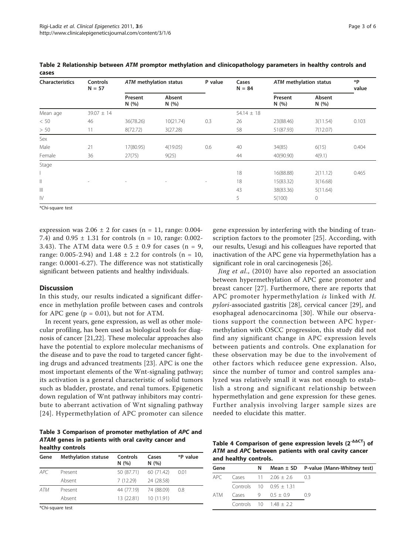| <b>Characteristics</b> | <b>Controls</b><br>$N = 57$ | ATM methylation status |                          | P value                  | Cases<br>$N = 84$ | ATM methylation status |                | *P<br>value |
|------------------------|-----------------------------|------------------------|--------------------------|--------------------------|-------------------|------------------------|----------------|-------------|
|                        |                             | Present<br>N(%)        | Absent<br>N(%)           |                          |                   | Present<br>N(%)        | Absent<br>N(%) |             |
| Mean age               | $39.07 \pm 14$              |                        |                          |                          | $54.14 \pm 18$    |                        |                |             |
| < 50                   | 46                          | 36(78.26)              | 10(21.74)                | 0.3                      | 26                | 23(88.46)              | 3(11.54)       | 0.103       |
| > 50                   | 11                          | 8(72.72)               | 3(27.28)                 |                          | 58                | 51(87.93)              | 7(12.07)       |             |
| Sex                    |                             |                        |                          |                          |                   |                        |                |             |
| Male                   | 21                          | 17(80.95)              | 4(19.05)                 | 0.6                      | 40                | 34(85)                 | 6(15)          | 0.404       |
| Female                 | 36                          | 27(75)                 | 9(25)                    |                          | 44                | 40(90.90)              | 4(9.1)         |             |
| Stage                  |                             |                        |                          |                          |                   |                        |                |             |
|                        |                             |                        |                          |                          | 18                | 16(88.88)              | 2(11.12)       | 0.465       |
| $\mid \mid$            | $\overline{\phantom{a}}$    | $\overline{a}$         | $\overline{\phantom{a}}$ | $\overline{\phantom{a}}$ | 18                | 15(83.32)              | 3(16.68)       |             |
| $\  \, \ $             |                             |                        |                          |                          | 43                | 38(83.36)              | 5(11.64)       |             |
| $\mathbb{N}$           |                             |                        |                          |                          | 5                 | 5(100)                 | $\circ$        |             |

<span id="page-2-0"></span>Table 2 Relationship between ATM promptor methylation and clinicopathology parameters in healthy controls and cases

\*Chi-square test

expression was  $2.06 \pm 2$  for cases (n = 11, range: 0.004-7.4) and  $0.95 \pm 1.31$  for controls (n = 10, range: 0.002-3.43). The ATM data were  $0.5 \pm 0.9$  for cases (n = 9, range: 0.005-2.94) and  $1.48 \pm 2.2$  for controls (n = 10, range: 0.0001-6.27). The difference was not statistically significant between patients and healthy individuals.

# **Discussion**

In this study, our results indicated a significant difference in methylation profile between cases and controls for APC gene ( $p = 0.01$ ), but not for ATM.

In recent years, gene expression, as well as other molecular profiling, has been used as biological tools for diagnosis of cancer [\[21,22](#page-4-0)]. These molecular approaches also have the potential to explore molecular mechanisms of the disease and to pave the road to targeted cancer fighting drugs and advanced treatments [\[23](#page-4-0)]. APC is one the most important elements of the Wnt-signaling pathway; its activation is a general characteristic of solid tumors such as bladder, prostate, and renal tumors. Epigenetic down regulation of Wnt pathway inhibitors may contribute to aberrant activation of Wnt signaling pathway [[24\]](#page-4-0). Hypermethylation of APC promoter can silence

Table 3 Comparison of promoter methylation of APC and ATAM genes in patients with oral cavity cancer and healthy controls

| Gene     | <b>Methylation statuse</b> | Controls<br>N(%) | Cases<br>N(%) | *P value |
|----------|----------------------------|------------------|---------------|----------|
| APC      | Present                    | 50 (87.71)       | 60 (71.42)    | 0.01     |
|          | Absent                     | 7(12.29)         | 24 (28.58)    |          |
| ATM      | Present                    | 44 (77.19)       | 74 (88.09)    | 0.8      |
|          | Absent                     | 13(22.81)        | 10(11.91)     |          |
| $\cdots$ |                            |                  |               |          |

\*Chi-square test

gene expression by interfering with the binding of transcription factors to the promoter [[25\]](#page-4-0). According, with our results, Uesugi and his colleagues have reported that inactivation of the APC gene via hypermethylation has a significant role in oral carcinogenesis [\[26\]](#page-4-0).

Jing et al., (2010) have also reported an association between hypermethylation of APC gene promoter and breast cancer [[27](#page-4-0)]. Furthermore, there are reports that APC promoter hypermethylation is linked with H. pylori-associated gastritis [[28\]](#page-4-0), cervical cancer [[29](#page-5-0)], and esophageal adenocarcinoma [[30](#page-5-0)]. While our observations support the connection between APC hypermethylation with OSCC progression, this study did not find any significant change in APC expression levels between patients and controls. One explanation for these observation may be due to the involvement of other factors which reducee gene expression. Also, since the number of tumor and control samples analyzed was relatively small it was not enough to establish a strong and significant relationship between hypermethylation and gene expression for these genes. Further analysis involving larger sample sizes are needed to elucidate this matter.

Table 4 Comparison of gene expression levels (2-ΔΔCT) of ATM and APC between patients with oral cavity cancer and healthy controls.

| $\frac{1}{2}$ |  |    |                                   |                                           |  |
|---------------|--|----|-----------------------------------|-------------------------------------------|--|
| Gene          |  | N. |                                   | Mean $\pm$ SD P-value (Mann-Whitney test) |  |
|               |  |    | APC Cases $11$ $2.06 \pm 2.6$ 0.3 |                                           |  |
|               |  |    | Controls $10 \t 0.95 + 1.31$      |                                           |  |
| ATM           |  |    | Cases 9 $0.5 + 0.9$ 0.9           |                                           |  |
|               |  |    | Controls $10 \t 1.48 + 2.2$       |                                           |  |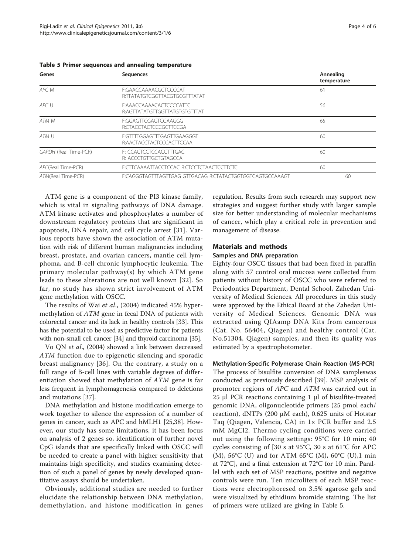| Genes                 | <b>Sequences</b>                                          | Annealing<br>temperature |
|-----------------------|-----------------------------------------------------------|--------------------------|
| APC M                 | F:GAACCAAAACGCTCCCCAT<br>R:TTATATGTCGGTTACGTGCGTTTATAT    | 61                       |
| APC U                 | F:AAACCAAAACACTCCCCATTC<br>R:AGTTATATGTTGGTTATGTGTGTTTAT  | 56                       |
| ATM M                 | F:GGAGTTCGAGTCGAAGGG<br>R:CTACCTACTCCCGCTTCCGA            | 65                       |
| ATM U                 | F:GTTTTGGAGTTTGAGTTGAAGGGT<br>R:AACTACCTACTCCCACTTCCAA    | 60                       |
| GAPDH (Real Time-PCR) | F: CCACTCCTCCACCTTTGAC<br>R: ACCCTGTTGCTGTAGCCA           | 60                       |
| APC(Real Time-PCR)    | F:CTTCAAAATTACCTCCAC R:CTCCTCTAACTCCTTCTC                 | 60                       |
| ATM(Real Time-PCR)    | F:CAGGGTAGTTTAGTTGAG GTTGACAG R:CTATACTGGTGGTCAGTGCCAAAGT | 60                       |

Table 5 Primer sequences and annealing temperature

ATM gene is a component of the PI3 kinase family, which is vital in signaling pathways of DNA damage. ATM kinase activates and phosphorylates a number of downstream regulatory proteins that are significant in apoptosis, DNA repair, and cell cycle arrest [[31](#page-5-0)]. Various reports have shown the association of ATM mutation with risk of different human malignancies including breast, prostate, and ovarian cancers, mantle cell lymphoma, and B-cell chronic lymphocytic leukemia. The primary molecular pathway(s) by which ATM gene leads to these alterations are not well known [[32\]](#page-5-0). So far, no study has shown strict involvement of ATM gene methylation with OSCC.

The results of Wai et al., (2004) indicated 45% hypermethylation of ATM gene in fecal DNA of patients with colorectal cancer and its lack in healthy controls [\[33\]](#page-5-0). This has the potential to be used as predictive factor for patients with non-small cell cancer [\[34](#page-5-0)] and thyroid carcinoma [\[35](#page-5-0)].

Vo QN et al., (2004) showed a link between decreased ATM function due to epigenetic silencing and sporadic breast malignancy [[36\]](#page-5-0). On the contrary, a study on a full range of B-cell lines with variable degrees of differentiation showed that methylation of ATM gene is far less frequent in lymphomagenesis compared to deletions and mutations [\[37\]](#page-5-0).

DNA methylation and histone modification emerge to work together to silence the expression of a number of genes in cancer, such as APC and hMLH1 [\[25](#page-4-0)[,38](#page-5-0)]. However, our study has some limitations, it has been focus on analysis of 2 genes so, identification of further novel CpG islands that are specifically linked with OSCC will be needed to create a panel with higher sensitivity that maintains high specificity, and studies examining detection of such a panel of genes by newly developed quantitative assays should be undertaken.

Obviously, additional studies are needed to further elucidate the relationship between DNA methylation, demethylation, and histone modification in genes

regulation. Results from such research may support new strategies and suggest further study with larger sample size for better understanding of molecular mechanisms of cancer, which play a critical role in prevention and management of disease.

# Materials and methods

# Samples and DNA preparation

Eighty-four OSCC tissues that had been fixed in paraffin along with 57 control oral mucosa were collected from patients without history of OSCC who were referred to Periodontics Department, Dental School, Zahedan University of Medical Sciences. All procedures in this study were approved by the Ethical Board at the Zahedan University of Medical Sciences. Genomic DNA was extracted using QIAamp DNA Kits from cancerous (Cat. No. 56404, Qiagen) and healthy control (Cat. No.51304, Qiagen) samples, and then its quality was estimated by a spectrophotometer.

# Methylation-Specific Polymerase Chain Reaction (MS-PCR)

The process of bisulfite conversion of DNA sampleswas conducted as previously described [[39\]](#page-5-0). MSP analysis of promoter regions of APC and ATM was carried out in 25 μl PCR reactions containing 1 μl of bisulfite-treated genomic DNA, oligonucleotide primers (25 pmol each/ reaction), dNTPs (200 μM each), 0.625 units of Hotstar Taq (Qiagen, Valencia, CA) in 1× PCR buffer and 2.5 mM MgCl2. Thermo cycling conditions were carried out using the following settings: 95°C for 10 min; 40 cycles consisting of [30 s at 95°C, 30 s at 61°C for APC (M), 56°C (U) and for ATM 65°C (M), 60°C (U),1 min at 72°C], and a final extension at 72°C for 10 min. Parallel with each set of MSP reactions, positive and negative controls were run. Ten microliters of each MSP reactions were electrophoresed on 3.5% agarose gels and were visualized by ethidium bromide staining. The list of primers were utilized are giving in Table 5.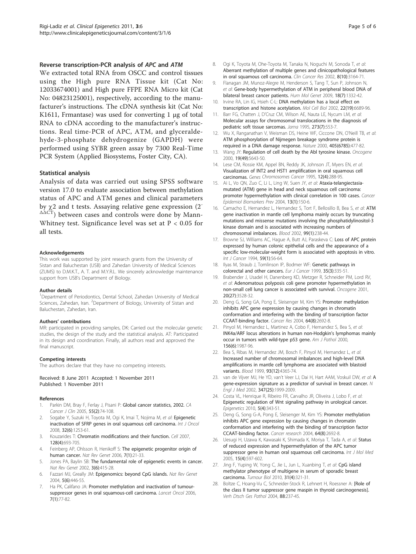# <span id="page-4-0"></span>Reverse transcription-PCR analysis of APC and ATM

We extracted total RNA from OSCC and control tissues using the High pure RNA Tissue kit (Cat No: 12033674001) and High pure FFPE RNA Micro kit (Cat No: 04823125001), respectively, according to the manufacturer's instructions. The cDNA synthesis kit (Cat No: K1611, Frmantase) was used for converting 1 μg of total RNA to cDNA according to the manufacturer's instructions. Real time-PCR of APC, ATM, and glyceraldehyde-3-phosphate dehydrogenize (GAPDH) were performed using SYBR green assay by 7300 Real-Time PCR System (Applied Biosystems, Foster City, CA).

## Statistical analysis

Analysis of data was carried out using SPSS software version 17.0 to evaluate association between methylation status of APC and ATM genes and clinical parameters by  $\gamma$ 2 and t tests. Assaying relative gene expression (2<sup>-</sup>  $\Delta\Delta\overrightarrow{CT}$ ) between cases and controls were done by Mann-Whitney test. Significance level was set at P < 0.05 for all tests.

#### Acknowledgements

This work was supported by joint research grants from the University of Sistan and Baluchestan (USB) and Zahedan University of Medical Sciences (ZUMS) to D.M.K.T., A. T. and M.Y.R.L. We sincerely acknowledge maintenance support from USB's Department of Biology.

#### Author details

<sup>1</sup>Department of Periodontics, Dental School, Zahedan University of Medical Sciences, Zahedan, Iran. <sup>2</sup>Department of Biology, University of Sistan and Baluchestan, Zahedan, Iran.

#### Authors' contributions

MR: participated in providing samples, DK: Carried out the molecular genetic studies, the design of the study and the statistical analysis. AT: Participated in its design and coordination. Finally, all authors read and approved the final manuscript.

#### Competing interests

The authors declare that they have no competing interests.

#### Received: 8 June 2011 Accepted: 1 November 2011 Published: 1 November 2011

#### References

- Parkin DM, Bray F, Ferlay J, Pisani P: [Global cancer statistics, 2002.](http://www.ncbi.nlm.nih.gov/pubmed/15761078?dopt=Abstract) CA Cancer J Clin 2005, 55(2):74-108.
- Sogabe Y, Suzuki H, Toyota M, Ogi K, Imai T, Nojima M, et al: [Epigenetic](http://www.ncbi.nlm.nih.gov/pubmed/18497987?dopt=Abstract) [inactivation of SFRP genes in oral squamous cell carcinoma.](http://www.ncbi.nlm.nih.gov/pubmed/18497987?dopt=Abstract) Int J Oncol 2008, 32(6):1253-61.
- 3. Kouzarides T: [Chromatin modifications and their function.](http://www.ncbi.nlm.nih.gov/pubmed/17320507?dopt=Abstract) Cell 2007, 128(4):693-705.
- 4. Feinberg AP, Ohlsson R, Henikoff S: [The epigenetic progenitor origin of](http://www.ncbi.nlm.nih.gov/pubmed/16369569?dopt=Abstract) [human cancer.](http://www.ncbi.nlm.nih.gov/pubmed/16369569?dopt=Abstract) Nat Rev Genet 2006, 7(1):21-33.
- Jones PA, Baylin SB: [The fundamental role of epigenetic events in cancer.](http://www.ncbi.nlm.nih.gov/pubmed/12042769?dopt=Abstract) Nat Rev Genet 2002, 3(6):415-28.
- 6. Fazzari MJ, Greally JM: [Epigenomics: beyond CpG islands.](http://www.ncbi.nlm.nih.gov/pubmed/15153997?dopt=Abstract) Nat Rev Genet 2004, 5(6):446-55.
- Ha PK, Califano JA: [Promoter methylation and inactivation of tumour](http://www.ncbi.nlm.nih.gov/pubmed/16389187?dopt=Abstract)[suppressor genes in oral squamous-cell carcinoma.](http://www.ncbi.nlm.nih.gov/pubmed/16389187?dopt=Abstract) Lancet Oncol 2006, 7(1):77-82.
- 8. Ogi K, Toyota M, Ohe-Toyota M, Tanaka N, Noguchi M, Sonoda T, et al: [Aberrant methylation of multiple genes and clinicopathological features](http://www.ncbi.nlm.nih.gov/pubmed/12374684?dopt=Abstract) [in oral squamous cell carcinoma.](http://www.ncbi.nlm.nih.gov/pubmed/12374684?dopt=Abstract) Clin Cancer Res 2002, 8(10):3164-71.
- 9. Flanagan JM, Munoz-Alegre M, Henderson S, Tang T, Sun P, Johnson N, et al: [Gene-body hypermethylation of ATM in peripheral blood DNA of](http://www.ncbi.nlm.nih.gov/pubmed/19153073?dopt=Abstract) [bilateral breast cancer patients.](http://www.ncbi.nlm.nih.gov/pubmed/19153073?dopt=Abstract) Hum Mol Genet 2009, 18(7):1332-42.
- 10. Irvine RA, Lin IG, Hsieh C-L: [DNA methylation has a local effect on](http://www.ncbi.nlm.nih.gov/pubmed/12215526?dopt=Abstract) [transcription and histone acetylation.](http://www.ncbi.nlm.nih.gov/pubmed/12215526?dopt=Abstract) Mol Cell Biol 2002, 22(19):6689-96.
- 11. Barr FG, Chatten J, D'Cruz CM, Wilson AE, Nauta LE, Nycum LM, et al: [Molecular assays for chromosomal translocations in the diagnosis of](http://www.ncbi.nlm.nih.gov/pubmed/7530783?dopt=Abstract) [pediatric soft tissue sarcomas.](http://www.ncbi.nlm.nih.gov/pubmed/7530783?dopt=Abstract) Jama 1995, 273(7):553-7.
- 12. Wu X, Ranganathan V, Weisman DS, Heine WF, Ciccone DN, O'Neill TB, et al: [ATM phosphorylation of Nijmegen breakage syndrome protein is](http://www.ncbi.nlm.nih.gov/pubmed/10839545?dopt=Abstract) [required in a DNA damage response.](http://www.ncbi.nlm.nih.gov/pubmed/10839545?dopt=Abstract) Nature 2000, 405(6785):477-82.
- 13. Wang JY: [Regulation of cell death by the Abl tyrosine kinase.](http://www.ncbi.nlm.nih.gov/pubmed/11114745?dopt=Abstract) Oncogene 2000, 19(49):5643-50.
- 14. Lese CM, Rossie KM, Appel BN, Reddy JK, Johnson JT, Myers EN, et al: [Visualization of INT2 and HST1 amplification in oral squamous cell](http://www.ncbi.nlm.nih.gov/pubmed/7539284?dopt=Abstract) [carcinomas.](http://www.ncbi.nlm.nih.gov/pubmed/7539284?dopt=Abstract) Genes Chromosomes Cancer 1995, 12(4):288-95.
- 15. Ai L, Vo QN, Zuo C, Li L, Ling W, Suen JY, et al: [Ataxia-telangiectasia](http://www.ncbi.nlm.nih.gov/pubmed/14744748?dopt=Abstract)[mutated \(ATM\) gene in head and neck squamous cell carcinoma:](http://www.ncbi.nlm.nih.gov/pubmed/14744748?dopt=Abstract) [promoter hypermethylation with clinical correlation in 100 cases.](http://www.ncbi.nlm.nih.gov/pubmed/14744748?dopt=Abstract) Cancer Epidemiol Biomarkers Prev 2004, 13(1):150-6.
- 16. Camacho E, Hernandez L, Hernandez S, Tort F, Bellosillo B, Bea S, et al: [ATM](http://www.ncbi.nlm.nih.gov/pubmed/11756177?dopt=Abstract) [gene inactivation in mantle cell lymphoma mainly occurs by truncating](http://www.ncbi.nlm.nih.gov/pubmed/11756177?dopt=Abstract) [mutations and missense mutations involving the phosphatidylinositol-3](http://www.ncbi.nlm.nih.gov/pubmed/11756177?dopt=Abstract) [kinase domain and is associated with increasing numbers of](http://www.ncbi.nlm.nih.gov/pubmed/11756177?dopt=Abstract) [chromosomal imbalances.](http://www.ncbi.nlm.nih.gov/pubmed/11756177?dopt=Abstract) Blood 2002, 99(1):238-44.
- 17. Browne SJ, Williams AC, Hague A, Butt AJ, Paraskeva C: [Loss of APC protein](http://www.ncbi.nlm.nih.gov/pubmed/7927905?dopt=Abstract) [expressed by human colonic epithelial cells and the appearance of a](http://www.ncbi.nlm.nih.gov/pubmed/7927905?dopt=Abstract) [specific low-molecular-weight form is associated with apoptosis in vitro.](http://www.ncbi.nlm.nih.gov/pubmed/7927905?dopt=Abstract) Int J Cancer 1994, 59(1):56-64.
- 18. Ilyas M, Straub J, Tomlinson IP, Bodmer WF: [Genetic pathways in](http://www.ncbi.nlm.nih.gov/pubmed/10448282?dopt=Abstract) [colorectal and other cancers.](http://www.ncbi.nlm.nih.gov/pubmed/10448282?dopt=Abstract) Eur J Cancer 1999, 35(3):335-51.
- 19. Brabender J, Usadel H, Danenberg KD, Metzger R, Schneider PM, Lord RV, et al: [Adenomatous polyposis coli gene promoter hypermethylation in](http://www.ncbi.nlm.nih.gov/pubmed/11429699?dopt=Abstract) [non-small cell lung cancer is associated with survival.](http://www.ncbi.nlm.nih.gov/pubmed/11429699?dopt=Abstract) Oncogene 2001, 20(27):3528-32.
- 20. Deng G, Song GA, Pong E, Sleisenger M, Kim YS: [Promoter methylation](http://www.ncbi.nlm.nih.gov/pubmed/15087381?dopt=Abstract) [inhibits APC gene expression by causing changes in chromatin](http://www.ncbi.nlm.nih.gov/pubmed/15087381?dopt=Abstract) [conformation and interfering with the binding of transcription factor](http://www.ncbi.nlm.nih.gov/pubmed/15087381?dopt=Abstract) [CCAAT-binding factor.](http://www.ncbi.nlm.nih.gov/pubmed/15087381?dopt=Abstract) Cancer Res 2004, 64(8):2692-8.
- 21. Pinyol M, Hernandez L, Martinez A, Cobo F, Hernandez S, Bea S, et al: [INK4a/ARF locus alterations in human non-Hodgkin](http://www.ncbi.nlm.nih.gov/pubmed/10854221?dopt=Abstract)'s lymphomas mainly [occur in tumors with wild-type p53 gene.](http://www.ncbi.nlm.nih.gov/pubmed/10854221?dopt=Abstract) Am J Pathol 2000, 156(6):1987-96.
- 22. Bea S, Ribas M, Hernandez JM, Bosch F, Pinyol M, Hernandez L, et al: [Increased number of chromosomal imbalances and high-level DNA](http://www.ncbi.nlm.nih.gov/pubmed/10361135?dopt=Abstract) [amplifications in mantle cell lymphoma are associated with blastoid](http://www.ncbi.nlm.nih.gov/pubmed/10361135?dopt=Abstract) [variants.](http://www.ncbi.nlm.nih.gov/pubmed/10361135?dopt=Abstract) Blood 1999, 93(12):4365-74.
- 23. van de Vijver MJ, He YD, van't Veer LJ, Dai H, Hart [A](http://www.ncbi.nlm.nih.gov/pubmed/12490681?dopt=Abstract)AM, Voskuil DW, et al: A [gene-expression signature as a predictor of survival in breast cancer.](http://www.ncbi.nlm.nih.gov/pubmed/12490681?dopt=Abstract) N Engl J Med 2002, 347(25):1999-2009.
- 24. Costa VL, Henrique R, Ribeiro FR, Carvalho JR, Oliveira J, Lobo F, et al: [Epigenetic regulation of Wnt signaling pathway in urological cancer.](http://www.ncbi.nlm.nih.gov/pubmed/20421722?dopt=Abstract) Epigenetics 2010, 5(4):343-51.
- 25. Deng G, Song G-A, Pong E, Sleisenger M, Kim YS: [Promoter methylation](http://www.ncbi.nlm.nih.gov/pubmed/15087381?dopt=Abstract) [inhibits APC gene expression by causing changes in chromatin](http://www.ncbi.nlm.nih.gov/pubmed/15087381?dopt=Abstract) [conformation and interfering with the binding of transcription factor](http://www.ncbi.nlm.nih.gov/pubmed/15087381?dopt=Abstract) [CCAAT-binding factor.](http://www.ncbi.nlm.nih.gov/pubmed/15087381?dopt=Abstract) Cancer research 2004, 64(8):2692-8.
- 26. Uesugi H, Uzawa K, Kawasaki K, Shimada K, Moriya T, Tada A, et al: [Status](http://www.ncbi.nlm.nih.gov/pubmed/15754020?dopt=Abstract) [of reduced expression and hypermethylation of the APC tumor](http://www.ncbi.nlm.nih.gov/pubmed/15754020?dopt=Abstract) [suppressor gene in human oral squamous cell carcinoma.](http://www.ncbi.nlm.nih.gov/pubmed/15754020?dopt=Abstract) Int J Mol Med 2005, 15(4):597-602.
- 27. Jing F, Yuping W, Yong C, Jie L, Jun L, Xuanbing T, et al: [CpG island](http://www.ncbi.nlm.nih.gov/pubmed/20490964?dopt=Abstract) [methylator phenotype of multigene in serum of sporadic breast](http://www.ncbi.nlm.nih.gov/pubmed/20490964?dopt=Abstract) [carcinoma.](http://www.ncbi.nlm.nih.gov/pubmed/20490964?dopt=Abstract) Tumour Biol 2010, 31(4):321-31.
- 28. Boltze C, Hoang-Vu C, Schneider-Stock R, Lehnert H, Roessner A: [\[Role of](http://www.ncbi.nlm.nih.gov/pubmed/16892558?dopt=Abstract) [the class II tumor suppressor gene maspin in thyroid carcinogenesis\].](http://www.ncbi.nlm.nih.gov/pubmed/16892558?dopt=Abstract) Verh Dtsch Ges Pathol 2004, 88:237-45.